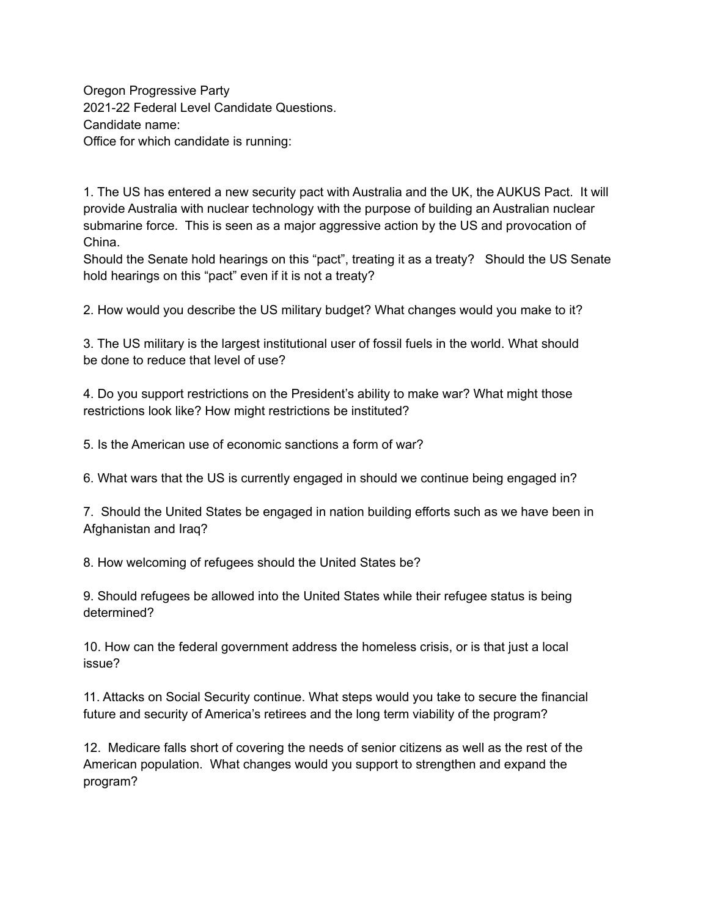Oregon Progressive Party 2021-22 Federal Level Candidate Questions. Candidate name: Office for which candidate is running:

1. The US has entered a new security pact with Australia and the UK, the AUKUS Pact. It will provide Australia with nuclear technology with the purpose of building an Australian nuclear submarine force. This is seen as a major aggressive action by the US and provocation of China.

Should the Senate hold hearings on this "pact", treating it as a treaty? Should the US Senate hold hearings on this "pact" even if it is not a treaty?

2. How would you describe the US military budget? What changes would you make to it?

3. The US military is the largest institutional user of fossil fuels in the world. What should be done to reduce that level of use?

4. Do you support restrictions on the President's ability to make war? What might those restrictions look like? How might restrictions be instituted?

5. Is the American use of economic sanctions a form of war?

6. What wars that the US is currently engaged in should we continue being engaged in?

7. Should the United States be engaged in nation building efforts such as we have been in Afghanistan and Iraq?

8. How welcoming of refugees should the United States be?

9. Should refugees be allowed into the United States while their refugee status is being determined?

10. How can the federal government address the homeless crisis, or is that just a local issue?

11. Attacks on Social Security continue. What steps would you take to secure the financial future and security of America's retirees and the long term viability of the program?

12. Medicare falls short of covering the needs of senior citizens as well as the rest of the American population. What changes would you support to strengthen and expand the program?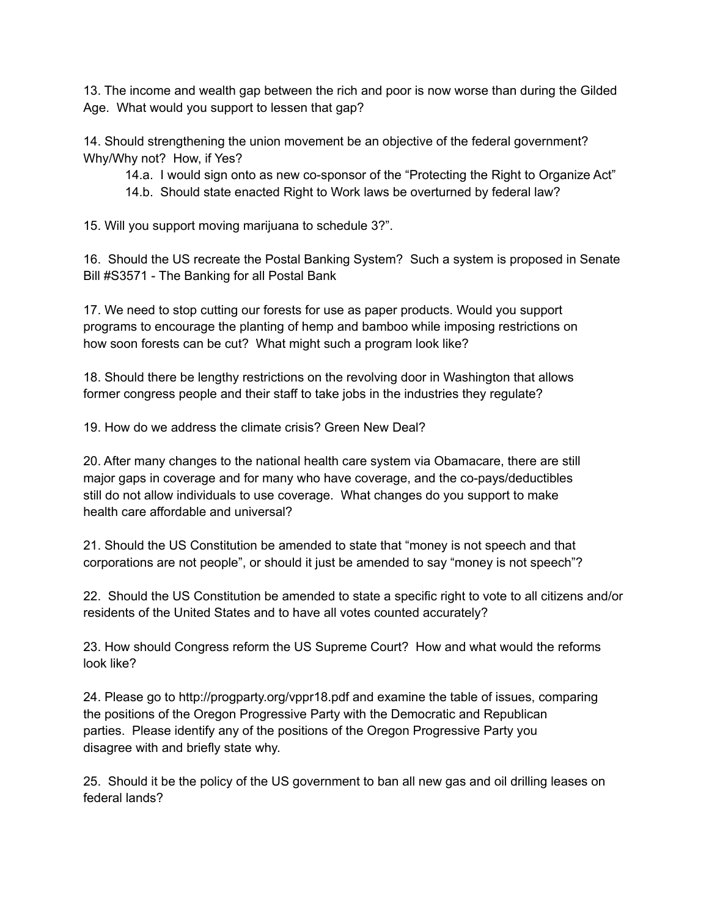13. The income and wealth gap between the rich and poor is now worse than during the Gilded Age. What would you support to lessen that gap?

14. Should strengthening the union movement be an objective of the federal government? Why/Why not? How, if Yes?

14.a. I would sign onto as new co-sponsor of the "Protecting the Right to Organize Act"

14.b. Should state enacted Right to Work laws be overturned by federal law?

15. Will you support moving marijuana to schedule 3?".

16. Should the US recreate the Postal Banking System? Such a system is proposed in Senate Bill #S3571 - The Banking for all Postal Bank

17. We need to stop cutting our forests for use as paper products. Would you support programs to encourage the planting of hemp and bamboo while imposing restrictions on how soon forests can be cut? What might such a program look like?

18. Should there be lengthy restrictions on the revolving door in Washington that allows former congress people and their staff to take jobs in the industries they regulate?

19. How do we address the climate crisis? Green New Deal?

20. After many changes to the national health care system via Obamacare, there are still major gaps in coverage and for many who have coverage, and the co-pays/deductibles still do not allow individuals to use coverage. What changes do you support to make health care affordable and universal?

21. Should the US Constitution be amended to state that "money is not speech and that corporations are not people", or should it just be amended to say "money is not speech"?

22. Should the US Constitution be amended to state a specific right to vote to all citizens and/or residents of the United States and to have all votes counted accurately?

23. How should Congress reform the US Supreme Court? How and what would the reforms look like?

24. Please go to http://progparty.org/vppr18.pdf and examine the table of issues, comparing the positions of the Oregon Progressive Party with the Democratic and Republican parties. Please identify any of the positions of the Oregon Progressive Party you disagree with and briefly state why.

25. Should it be the policy of the US government to ban all new gas and oil drilling leases on federal lands?